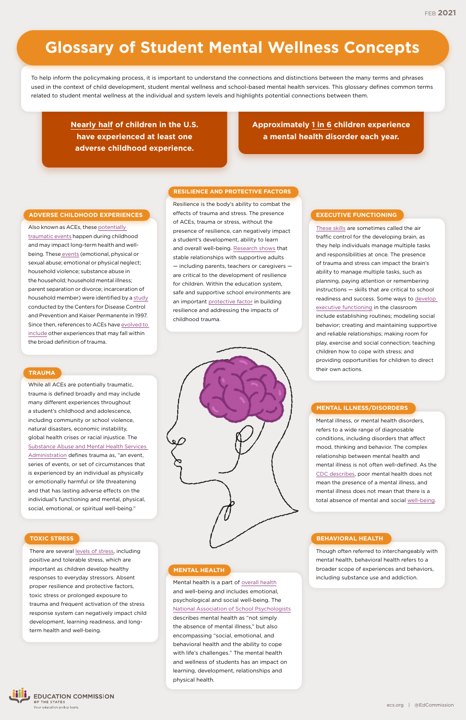# **Approximately [1 in 6](https://www.nami.org/mhstats) children experience a mental health disorder each year.**

**[Nearly half](https://www.childtrends.org/publications/prevalence-adverse-childhood-experiences-nationally-state-race-ethnicity) of children in the U.S. have experienced at least one adverse childhood experience.**

Also known as ACEs, these [potentially](https://www.cdc.gov/violenceprevention/aces/fastfact.html)  [traumatic events](https://www.cdc.gov/violenceprevention/aces/fastfact.html) happen during childhood and may impact long-term health and wellbeing. These [events](https://www.cdc.gov/violenceprevention/aces/about.html) (emotional, physical or sexual abuse; emotional or physical neglect; household violence; substance abuse in the household; household mental illness; parent separation or divorce; incarceration of household member) were identified by a [study](https://www.cdc.gov/violenceprevention/aces/about.html?CDC_AA_refVal=https%3A%2F%2Fwww.cdc.gov%2Fviolenceprevention%2Facestudy%2Fabout.html) conducted by the Centers for Disease Control and Prevention and Kaiser Permanente in 1997. Since then, references to ACEs have [evolved to](https://www.childtrends.org/indicators/adverse-experiences)  [include](https://www.childtrends.org/indicators/adverse-experiences) other experiences that may fall within the broad definition of trauma.

## **ADVERSE CHILDHOOD EXPERIENCES**

There are several [levels of stress](https://developingchild.harvard.edu/science/key-concepts/toxic-stress/), including positive and tolerable stress, which are important as children develop healthy responses to everyday stressors. Absent proper resilience and protective factors, toxic stress or prolonged exposure to trauma and frequent activation of the stress response system can negatively impact child development, learning readiness, and longterm health and well-being.



While all ACEs are potentially traumatic, trauma is defined broadly and may include many different experiences throughout a student's childhood and adolescence, including community or school violence, natural disasters, economic instability, global health crises or racial injustice. The [Substance Abuse and Mental Health Services](https://www.samhsa.gov/trauma-violence)  [Administration](https://www.samhsa.gov/trauma-violence) defines trauma as, "an event, series of events, or set of circumstances that is experienced by an individual as physically or emotionally harmful or life threatening and that has lasting adverse effects on the individual's functioning and mental, physical, social, emotional, or spiritual well-being."

# **TRAUMA**

#### **TOXIC STRESS**

Resilience is the body's ability to combat the effects of trauma and stress. The presence of ACEs, trauma or stress, without the presence of resilience, can negatively impact a student's development, ability to learn and overall well-being. [Research shows](https://developingchild.harvard.edu/science/key-concepts/resilience/) that stable relationships with supportive adults — including parents, teachers or caregivers are critical to the development of resilience for children. Within the education system, safe and supportive school environments are an important [protective factor](https://www.cdc.gov/healthyyouth/protective/school_connectedness.htm) in building resilience and addressing the impacts of childhood trauma.



#### **RESILIENCE AND PROTECTIVE FACTORS**

[These skills](https://developingchild.harvard.edu/science/key-concepts/executive-function/) are sometimes called the air traffic control for the developing brain, as they help individuals manage multiple tasks and responsibilities at once. The presence of trauma and stress can impact the brain's ability to manage multiple tasks, such as planning, paying attention or remembering instructions — skills that are critical to school readiness and success. Some ways to [develop](https://developingchild.harvard.edu/science/key-concepts/executive-function/)  [executive functioning](https://developingchild.harvard.edu/science/key-concepts/executive-function/) in the classroom include establishing routines; modeling social behavior; creating and maintaining supportive and reliable relationships; making room for play, exercise and social connection; teaching children how to cope with stress; and providing opportunities for children to direct their own actions.

# **EXECUTIVE FUNCTIONING**

Mental health is a part of [overall health](https://www.cdc.gov/mentalhealth/index.htm) and well-being and includes emotional, psychological and social well-being. The [National Association of School Psychologists](https://www.nasponline.org/resources-and-publications/resources-and-podcasts/mental-health/school-psychology-and-mental-health/school-based-mental-health-services) describes mental health as "not simply the absence of mental illness," but also encompassing "social, emotional, and behavioral health and the ability to cope with life's challenges." The mental health and wellness of students has an impact on learning, development, relationships and physical health.

# **MENTAL HEALTH**

Though often referred to interchangeably with mental health, behavioral health refers to a broader scope of experiences and behaviors, including substance use and addiction.

#### **BEHAVIORAL HEALTH**

Mental illness, or mental health disorders, refers to a wide range of diagnosable conditions, including disorders that affect mood, thinking and behavior. The complex relationship between mental health and mental illness is not often well-defined. As the [CDC describes](https://www.cdc.gov/mentalhealth/learn/index.htm), poor mental health does not mean the presence of a mental illness, and mental illness does not mean that there is a total absence of mental and social [well-being](https://www.cdc.gov/hrqol/wellbeing.htm).

# **MENTAL ILLNESS/DISORDERS**

To help inform the policymaking process, it is important to understand the connections and distinctions between the many terms and phrases used in the context of child development, student mental wellness and school-based mental health services. This glossary defines common terms related to student mental wellness at the individual and system levels and highlights potential connections between them.

# **Glossary of Student Mental Wellness Concepts**